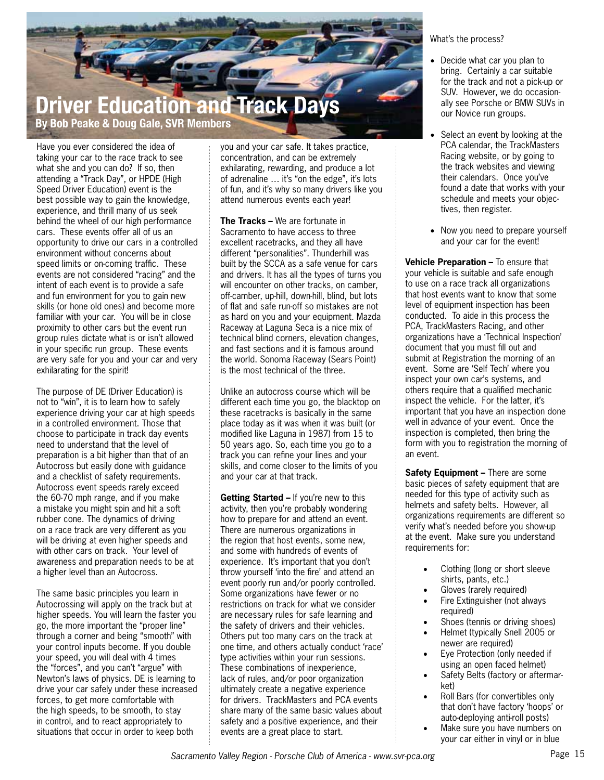

Have you ever considered the idea of taking your car to the race track to see what she and you can do? If so, then attending a "Track Day", or HPDE (High Speed Driver Education) event is the best possible way to gain the knowledge, experience, and thrill many of us seek behind the wheel of our high performance cars. These events offer all of us an opportunity to drive our cars in a controlled environment without concerns about speed limits or on-coming traffic. These events are not considered "racing" and the intent of each event is to provide a safe and fun environment for you to gain new skills (or hone old ones) and become more familiar with your car. You will be in close proximity to other cars but the event run group rules dictate what is or isn't allowed in your specific run group. These events are very safe for you and your car and very exhilarating for the spirit!

The purpose of DE (Driver Education) is not to "win", it is to learn how to safely experience driving your car at high speeds in a controlled environment. Those that choose to participate in track day events need to understand that the level of preparation is a bit higher than that of an Autocross but easily done with guidance and a checklist of safety requirements. Autocross event speeds rarely exceed the 60-70 mph range, and if you make a mistake you might spin and hit a soft rubber cone. The dynamics of driving on a race track are very different as you will be driving at even higher speeds and with other cars on track. Your level of awareness and preparation needs to be at a higher level than an Autocross.

The same basic principles you learn in Autocrossing will apply on the track but at higher speeds. You will learn the faster you go, the more important the "proper line" through a corner and being "smooth" with your control inputs become. If you double your speed, you will deal with 4 times the "forces", and you can't "argue" with Newton's laws of physics. DE is learning to drive your car safely under these increased forces, to get more comfortable with the high speeds, to be smooth, to stay in control, and to react appropriately to situations that occur in order to keep both

you and your car safe. It takes practice, concentration, and can be extremely exhilarating, rewarding, and produce a lot of adrenaline … it's "on the edge", it's lots of fun, and it's why so many drivers like you attend numerous events each year!

**The Tracks** – We are fortunate in Sacramento to have access to three excellent racetracks, and they all have different "personalities". Thunderhill was built by the SCCA as a safe venue for cars and drivers. It has all the types of turns you will encounter on other tracks, on camber, off-camber, up-hill, down-hill, blind, but lots of flat and safe run-off so mistakes are not as hard on you and your equipment. Mazda Raceway at Laguna Seca is a nice mix of technical blind corners, elevation changes, and fast sections and it is famous around the world. Sonoma Raceway (Sears Point) is the most technical of the three.

Unlike an autocross course which will be different each time you go, the blacktop on these racetracks is basically in the same place today as it was when it was built (or modified like Laguna in 1987) from 15 to 50 years ago. So, each time you go to a track you can refine your lines and your skills, and come closer to the limits of you and your car at that track.

**Getting Started –** If you're new to this activity, then you're probably wondering how to prepare for and attend an event. There are numerous organizations in the region that host events, some new, and some with hundreds of events of experience. It's important that you don't throw yourself 'into the fire' and attend an event poorly run and/or poorly controlled. Some organizations have fewer or no restrictions on track for what we consider are necessary rules for safe learning and the safety of drivers and their vehicles. Others put too many cars on the track at one time, and others actually conduct 'race' type activities within your run sessions. These combinations of inexperience, lack of rules, and/or poor organization ultimately create a negative experience for drivers. TrackMasters and PCA events share many of the same basic values about safety and a positive experience, and their events are a great place to start.

What's the process?

- Decide what car you plan to bring. Certainly a car suitable for the track and not a pick-up or SUV. However, we do occasionally see Porsche or BMW SUVs in our Novice run groups.
- Select an event by looking at the PCA calendar, the TrackMasters Racing website, or by going to the track websites and viewing their calendars. Once you've found a date that works with your schedule and meets your objectives, then register.
- Now you need to prepare yourself and your car for the event!

**Vehicle Preparation –** To ensure that your vehicle is suitable and safe enough to use on a race track all organizations that host events want to know that some level of equipment inspection has been conducted. To aide in this process the PCA, TrackMasters Racing, and other organizations have a 'Technical Inspection' document that you must fill out and submit at Registration the morning of an event. Some are 'Self Tech' where you inspect your own car's systems, and others require that a qualified mechanic inspect the vehicle. For the latter, it's important that you have an inspection done well in advance of your event. Once the inspection is completed, then bring the form with you to registration the morning of an event.

**Safety Equipment –** There are some basic pieces of safety equipment that are needed for this type of activity such as helmets and safety belts. However, all organizations requirements are different so verify what's needed before you show-up at the event. Make sure you understand requirements for:

- Clothing (long or short sleeve shirts, pants, etc.)
- Gloves (rarely required)
- Fire Extinguisher (not always required)
- Shoes (tennis or driving shoes)
- Helmet (typically Snell 2005 or newer are required)
- Eye Protection (only needed if using an open faced helmet)
- Safety Belts (factory or aftermarket)
- Roll Bars (for convertibles only that don't have factory 'hoops' or auto-deploying anti-roll posts)
- Make sure you have numbers on your car either in vinyl or in blue